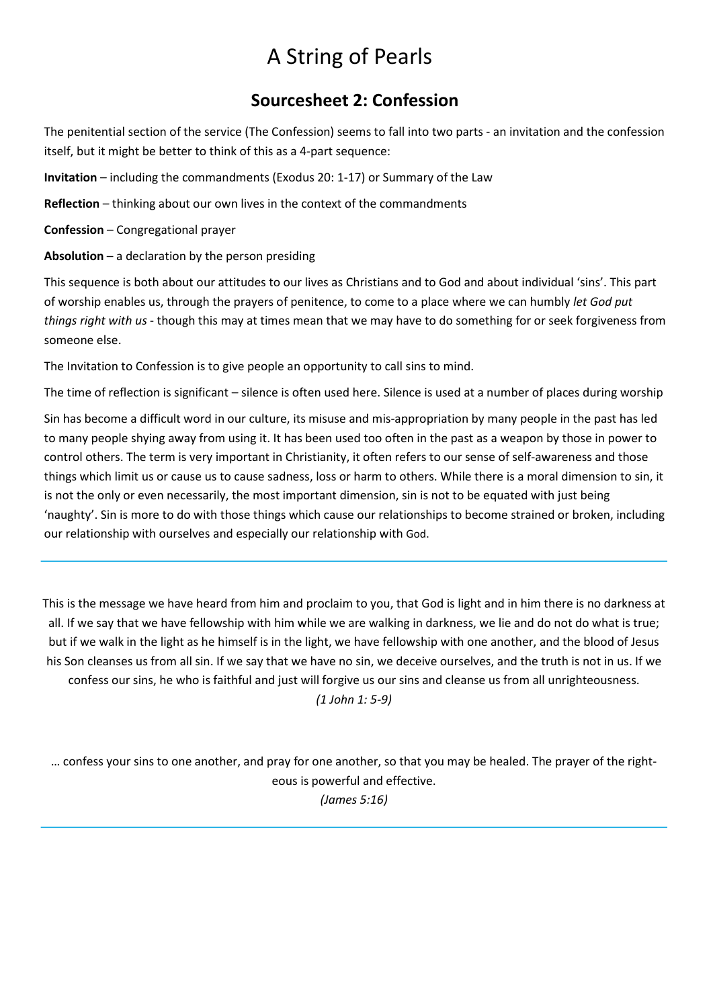# A String of Pearls

## Sourcesheet 2: Confession

The penitential section of the service (The Confession) seems to fall into two parts - an invitation and the confession itself, but it might be better to think of this as a 4-part sequence:

Invitation – including the commandments (Exodus 20: 1-17) or Summary of the Law

Reflection – thinking about our own lives in the context of the commandments

Confession – Congregational prayer

Absolution  $-$  a declaration by the person presiding

This sequence is both about our attitudes to our lives as Christians and to God and about individual 'sins'. This part of worship enables us, through the prayers of penitence, to come to a place where we can humbly let God put things right with us - though this may at times mean that we may have to do something for or seek forgiveness from someone else.

The Invitation to Confession is to give people an opportunity to call sins to mind.

The time of reflection is significant – silence is often used here. Silence is used at a number of places during worship

Sin has become a difficult word in our culture, its misuse and mis-appropriation by many people in the past has led to many people shying away from using it. It has been used too often in the past as a weapon by those in power to control others. The term is very important in Christianity, it often refers to our sense of self-awareness and those things which limit us or cause us to cause sadness, loss or harm to others. While there is a moral dimension to sin, it is not the only or even necessarily, the most important dimension, sin is not to be equated with just being 'naughty'. Sin is more to do with those things which cause our relationships to become strained or broken, including our relationship with ourselves and especially our relationship with God.

This is the message we have heard from him and proclaim to you, that God is light and in him there is no darkness at all. If we say that we have fellowship with him while we are walking in darkness, we lie and do not do what is true; but if we walk in the light as he himself is in the light, we have fellowship with one another, and the blood of Jesus his Son cleanses us from all sin. If we say that we have no sin, we deceive ourselves, and the truth is not in us. If we confess our sins, he who is faithful and just will forgive us our sins and cleanse us from all unrighteousness.

(1 John 1: 5-9)

… confess your sins to one another, and pray for one another, so that you may be healed. The prayer of the righteous is powerful and effective. (James 5:16)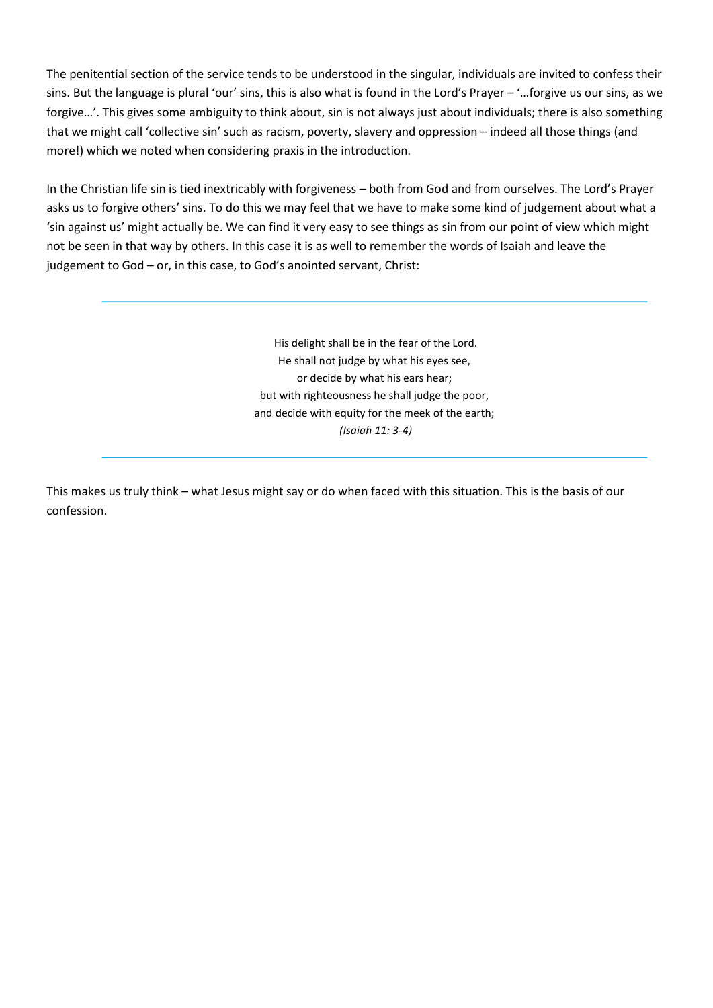The penitential section of the service tends to be understood in the singular, individuals are invited to confess their sins. But the language is plural 'our' sins, this is also what is found in the Lord's Prayer – '…forgive us our sins, as we forgive…'. This gives some ambiguity to think about, sin is not always just about individuals; there is also something that we might call 'collective sin' such as racism, poverty, slavery and oppression – indeed all those things (and more!) which we noted when considering praxis in the introduction.

In the Christian life sin is tied inextricably with forgiveness – both from God and from ourselves. The Lord's Prayer asks us to forgive others' sins. To do this we may feel that we have to make some kind of judgement about what a 'sin against us' might actually be. We can find it very easy to see things as sin from our point of view which might not be seen in that way by others. In this case it is as well to remember the words of Isaiah and leave the judgement to God – or, in this case, to God's anointed servant, Christ:

> His delight shall be in the fear of the Lord. He shall not judge by what his eyes see, or decide by what his ears hear; but with righteousness he shall judge the poor, and decide with equity for the meek of the earth; (Isaiah 11: 3-4)

This makes us truly think – what Jesus might say or do when faced with this situation. This is the basis of our confession.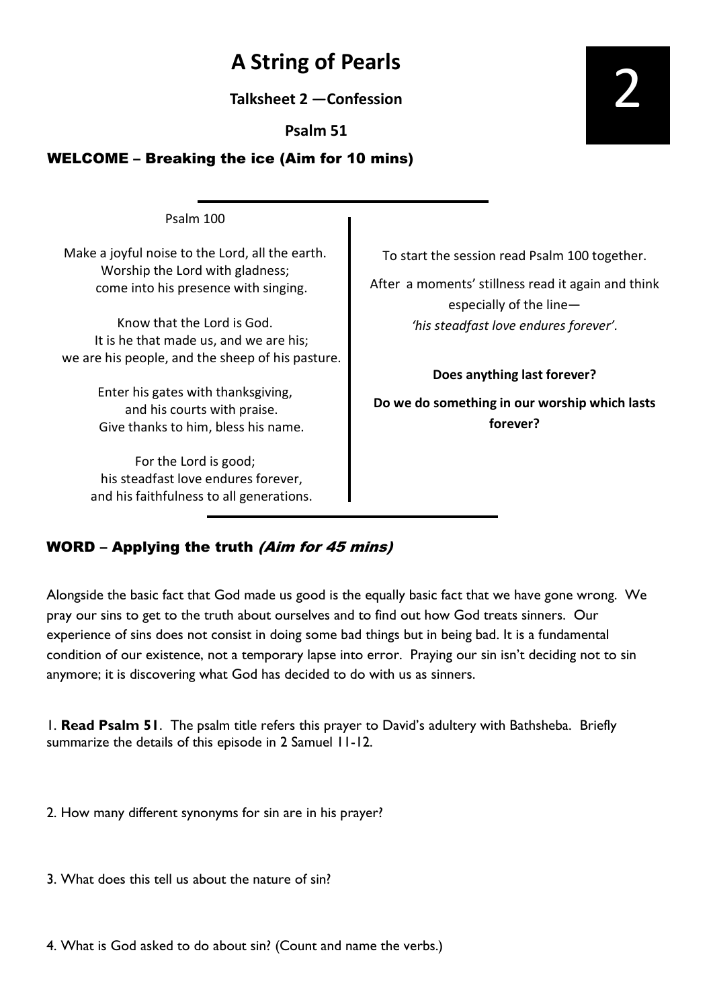# A String of Pearls

Talksheet 2 —Confession

Psalm 51

### WELCOME – Breaking the ice (Aim for 10 mins)

Make a joyful noise to the Lord, all the earth. Worship the Lord with gladness; come into his presence with singing.

Psalm 100

Know that the Lord is God. It is he that made us, and we are his; we are his people, and the sheep of his pasture.

> Enter his gates with thanksgiving, and his courts with praise. Give thanks to him, bless his name.

For the Lord is good; his steadfast love endures forever, and his faithfulness to all generations. To start the session read Psalm 100 together.

After a moments' stillness read it again and think especially of the line— 'his steadfast love endures forever'.

Does anything last forever?

Do we do something in our worship which lasts forever?

### WORD – Applying the truth (Aim for 45 mins)

Alongside the basic fact that God made us good is the equally basic fact that we have gone wrong. We pray our sins to get to the truth about ourselves and to find out how God treats sinners. Our experience of sins does not consist in doing some bad things but in being bad. It is a fundamental condition of our existence, not a temporary lapse into error. Praying our sin isn't deciding not to sin anymore; it is discovering what God has decided to do with us as sinners.

1. **Read Psalm 51.** The psalm title refers this prayer to David's adultery with Bathsheba. Briefly summarize the details of this episode in 2 Samuel 11-12.

2. How many different synonyms for sin are in his prayer?

3. What does this tell us about the nature of sin?

4. What is God asked to do about sin? (Count and name the verbs.)